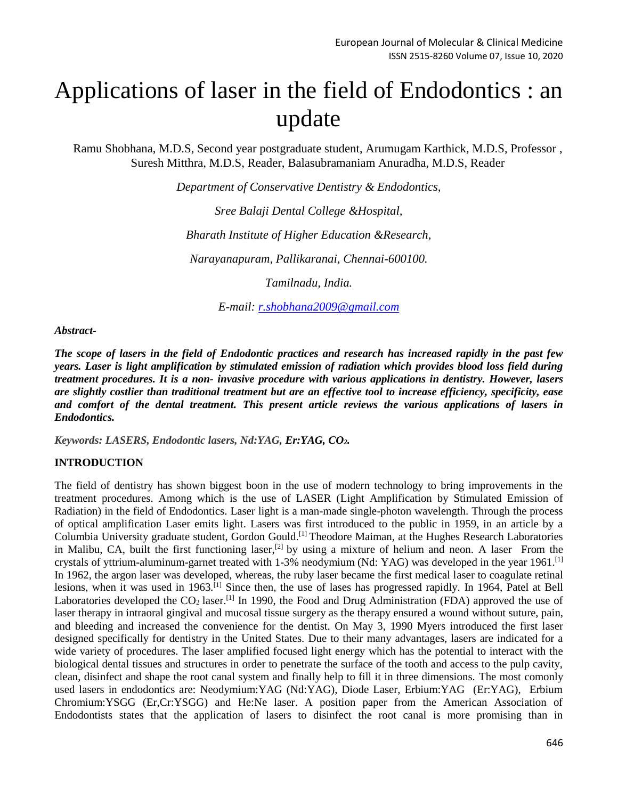# Applications of laser in the field of Endodontics : an update

Ramu Shobhana, M.D.S, Second year postgraduate student, Arumugam Karthick, M.D.S, Professor , Suresh Mitthra, M.D.S, Reader, Balasubramaniam Anuradha, M.D.S, Reader

*Department of Conservative Dentistry & Endodontics,*

*Sree Balaji Dental College &Hospital,*

*Bharath Institute of Higher Education &Research,*

*Narayanapuram, Pallikaranai, Chennai-600100.*

*Tamilnadu, India.*

*E-mail: [r.shobhana2009@gmail.com](mailto:r.shobhana2009@gmail.com)*

*Abstract-*

*The scope of lasers in the field of Endodontic practices and research has increased rapidly in the past few years. Laser is light amplification by stimulated emission of radiation which provides blood loss field during treatment procedures. It is a non- invasive procedure with various applications in dentistry. However, lasers are slightly costlier than traditional treatment but are an effective tool to increase efficiency, specificity, ease and comfort of the dental treatment. This present article reviews the various applications of lasers in Endodontics.*

*Keywords: LASERS, Endodontic lasers, Nd:YAG, Er:YAG, CO2.*

# **INTRODUCTION**

The field of dentistry has shown biggest boon in the use of modern technology to bring improvements in the treatment procedures. Among which is the use of LASER (Light Amplification by Stimulated Emission of Radiation) in the field of Endodontics. Laser light is a man-made single-photon wavelength. Through the process of optical amplification Laser emits light. Lasers was first introduced to the public in 1959, in an article by a Columbia University graduate student, Gordon Gould.[1] Theodore Maiman, at the Hughes Research Laboratories in Malibu, CA, built the first functioning laser,<sup>[2]</sup> by using a mixture of helium and neon. A laser From the crystals of yttrium-aluminum-garnet treated with 1-3% neodymium (Nd: YAG) was developed in the year 1961. [1] In 1962, the argon laser was developed, whereas, the ruby laser became the first medical laser to coagulate retinal lesions, when it was used in 1963.<sup>[1]</sup> Since then, the use of lases has progressed rapidly. In 1964, Patel at Bell Laboratories developed the  $CO_2$  laser.<sup>[1]</sup> In 1990, the Food and Drug Administration (FDA) approved the use of laser therapy in intraoral gingival and mucosal tissue surgery as the therapy ensured a wound without suture, pain, and bleeding and increased the convenience for the dentist. On May 3, 1990 Myers introduced the first laser designed specifically for dentistry in the United States. Due to their many advantages, lasers are indicated for a wide variety of procedures. The laser amplified focused light energy which has the potential to interact with the biological dental tissues and structures in order to penetrate the surface of the tooth and access to the pulp cavity, clean, disinfect and shape the root canal system and finally help to fill it in three dimensions. The most comonly used lasers in endodontics are: Neodymium:YAG (Nd:YAG), Diode Laser, Erbium:YAG (Er:YAG), Erbium Chromium:YSGG (Er,Cr:YSGG) and He:Ne laser. A position paper from the American Association of Endodontists states that the application of lasers to disinfect the root canal is more promising than in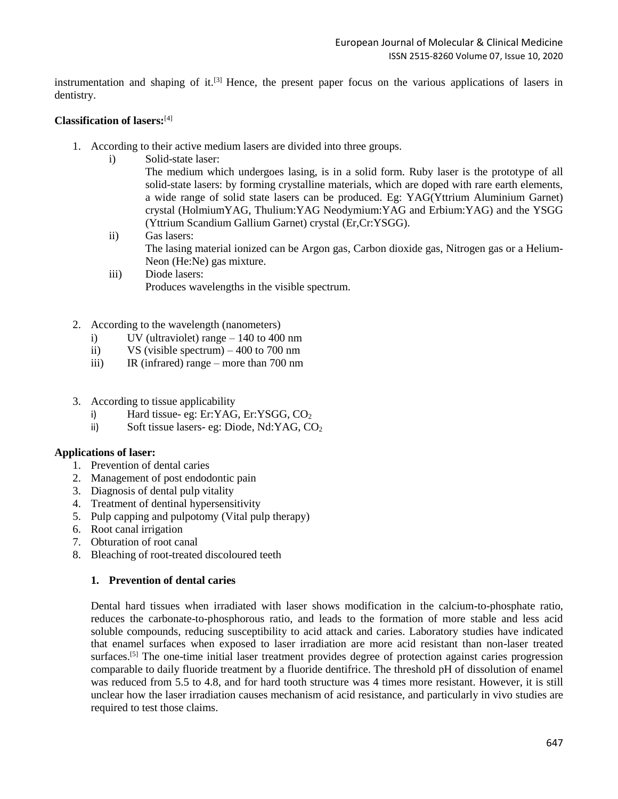instrumentation and shaping of it.<sup>[3]</sup> Hence, the present paper focus on the various applications of lasers in dentistry.

## **Classification of lasers:**[4]

- 1. According to their active medium lasers are divided into three groups.
	- i) Solid-state laser:

The medium which undergoes lasing, is in a solid form. Ruby laser is the prototype of all solid-state lasers: by forming crystalline materials, which are doped with rare earth elements, a wide range of solid state lasers can be produced. Eg: YAG(Yttrium Aluminium Garnet) crystal (HolmiumYAG, Thulium:YAG Neodymium:YAG and Erbium:YAG) and the YSGG (Yttrium Scandium Gallium Garnet) crystal (Er,Cr:YSGG).

- ii) Gas lasers: The lasing material ionized can be Argon gas, Carbon dioxide gas, Nitrogen gas or a Helium-Neon (He:Ne) gas mixture.
- iii) Diode lasers: Produces wavelengths in the visible spectrum.
- 2. According to the wavelength (nanometers)
	- i) UV (ultraviolet) range 140 to 400 nm
	- ii) VS (visible spectrum) 400 to 700 nm
	- iii) IR (infrared) range more than 700 nm
- 3. According to tissue applicability
	- i) Hard tissue- eg: Er:YAG, Er:YSGG,  $CO<sub>2</sub>$
	- ii) Soft tissue lasers- eg: Diode, Nd:YAG, CO<sub>2</sub>

# **Applications of laser:**

- 1. Prevention of dental caries
- 2. Management of post endodontic pain
- 3. Diagnosis of dental pulp vitality
- 4. Treatment of dentinal hypersensitivity
- 5. Pulp capping and pulpotomy (Vital pulp therapy)
- 6. Root canal irrigation
- 7. Obturation of root canal
- 8. Bleaching of root-treated discoloured teeth

#### **1. Prevention of dental caries**

Dental hard tissues when irradiated with laser shows modification in the calcium-to-phosphate ratio, reduces the carbonate-to-phosphorous ratio, and leads to the formation of more stable and less acid soluble compounds, reducing susceptibility to acid attack and caries. Laboratory studies have indicated that enamel surfaces when exposed to laser irradiation are more acid resistant than non-laser treated surfaces.<sup>[5]</sup> The one-time initial laser treatment provides degree of protection against caries progression comparable to daily fluoride treatment by a fluoride dentifrice. The threshold pH of dissolution of enamel was reduced from 5.5 to 4.8, and for hard tooth structure was 4 times more resistant. However, it is still unclear how the laser irradiation causes mechanism of acid resistance, and particularly in vivo studies are required to test those claims.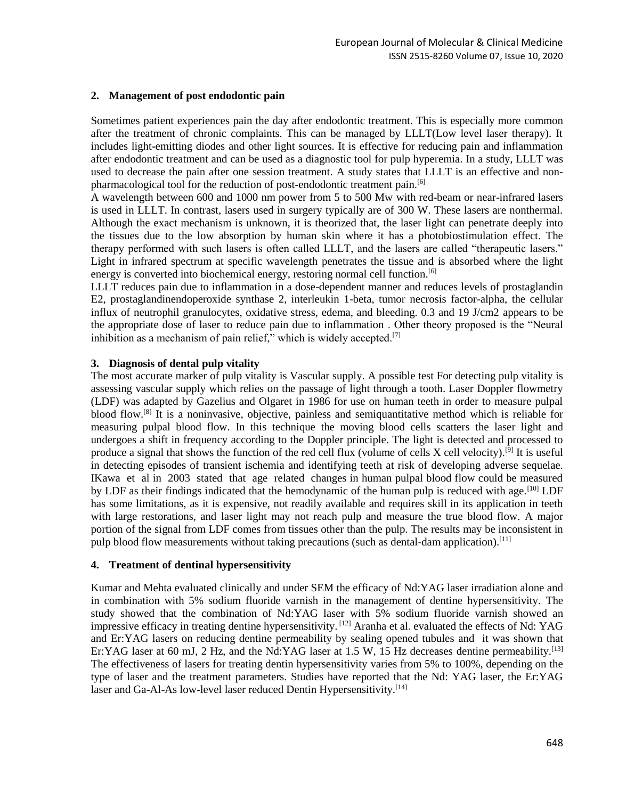# **2. Management of post endodontic pain**

Sometimes patient experiences pain the day after endodontic treatment. This is especially more common after the treatment of chronic complaints. This can be managed by LLLT(Low level laser therapy). It includes light-emitting diodes and other light sources. It is effective for reducing pain and inflammation after endodontic treatment and can be used as a diagnostic tool for pulp hyperemia. In a study, LLLT was used to decrease the pain after one session treatment. A study states that LLLT is an effective and nonpharmacological tool for the reduction of post-endodontic treatment pain.<sup>[6]</sup>

A wavelength between 600 and 1000 nm power from 5 to 500 Mw with red-beam or near-infrared lasers is used in LLLT. In contrast, lasers used in surgery typically are of 300 W. These lasers are nonthermal. Although the exact mechanism is unknown, it is theorized that, the laser light can penetrate deeply into the tissues due to the low absorption by human skin where it has a photobiostimulation effect. The therapy performed with such lasers is often called LLLT, and the lasers are called "therapeutic lasers." Light in infrared spectrum at specific wavelength penetrates the tissue and is absorbed where the light energy is converted into biochemical energy, restoring normal cell function.<sup>[6]</sup>

LLLT reduces pain due to inflammation in a dose-dependent manner and reduces levels of prostaglandin E2, prostaglandinendoperoxide synthase 2, interleukin 1-beta, tumor necrosis factor-alpha, the cellular influx of neutrophil granulocytes, oxidative stress, edema, and bleeding. 0.3 and 19 J/cm2 appears to be the appropriate dose of laser to reduce pain due to inflammation . Other theory proposed is the "Neural inhibition as a mechanism of pain relief," which is widely accepted.<sup>[7]</sup>

# **3. Diagnosis of dental pulp vitality**

The most accurate marker of pulp vitality is Vascular supply. A possible test For detecting pulp vitality is assessing vascular supply which relies on the passage of light through a tooth. Laser Doppler flowmetry (LDF) was adapted by Gazelius and Olgaret in 1986 for use on human teeth in order to measure pulpal blood flow. [8] It is a noninvasive, objective, painless and semiquantitative method which is reliable for measuring pulpal blood flow. In this technique the moving blood cells scatters the laser light and undergoes a shift in frequency according to the Doppler principle. The light is detected and processed to produce a signal that shows the function of the red cell flux (volume of cells X cell velocity).<sup>[9]</sup> It is useful in detecting episodes of transient ischemia and identifying teeth at risk of developing adverse sequelae. IKawa et al in 2003 stated that age related changes in human pulpal blood flow could be measured by LDF as their findings indicated that the hemodynamic of the human pulp is reduced with age.<sup>[10]</sup> LDF has some limitations, as it is expensive, not readily available and requires skill in its application in teeth with large restorations, and laser light may not reach pulp and measure the true blood flow. A major portion of the signal from LDF comes from tissues other than the pulp. The results may be inconsistent in pulp blood flow measurements without taking precautions (such as dental-dam application).<sup>[11]</sup>

#### **4. Treatment of dentinal hypersensitivity**

Kumar and Mehta evaluated clinically and under SEM the efficacy of Nd:YAG laser irradiation alone and in combination with 5% sodium fluoride varnish in the management of dentine hypersensitivity. The study showed that the combination of Nd:YAG laser with 5% sodium fluoride varnish showed an impressive efficacy in treating dentine hypersensitivity. [12] Aranha et al. evaluated the effects of Nd: YAG and Er:YAG lasers on reducing dentine permeability by sealing opened tubules and it was shown that Er:YAG laser at 60 mJ, 2 Hz, and the Nd:YAG laser at 1.5 W, 15 Hz decreases dentine permeability.<sup>[13]</sup> The effectiveness of lasers for treating dentin hypersensitivity varies from 5% to 100%, depending on the type of laser and the treatment parameters. Studies have reported that the Nd: YAG laser, the Er:YAG laser and Ga-Al-As low-level laser reduced Dentin Hypersensitivity.<sup>[14]</sup>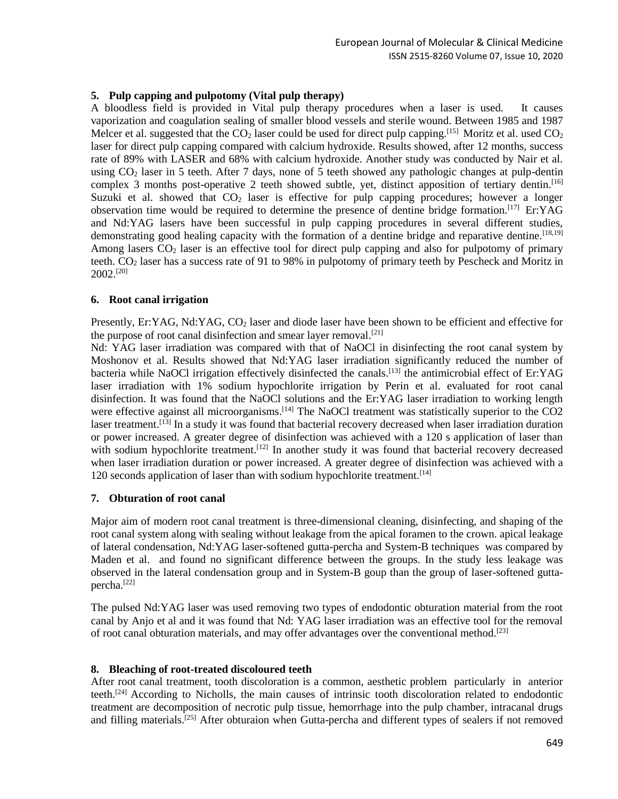# **5. Pulp capping and pulpotomy (Vital pulp therapy)**

A bloodless field is provided in Vital pulp therapy procedures when a laser is used. It causes vaporization and coagulation sealing of smaller blood vessels and sterile wound. Between 1985 and 1987 Melcer et al. suggested that the  $CO_2$  laser could be used for direct pulp capping.<sup>[15]</sup> Moritz et al. used  $CO_2$ laser for direct pulp capping compared with calcium hydroxide. Results showed, after 12 months, success rate of 89% with LASER and 68% with calcium hydroxide. Another study was conducted by Nair et al. using CO<sub>2</sub> laser in 5 teeth. After 7 days, none of 5 teeth showed any pathologic changes at pulp-dentin complex 3 months post-operative 2 teeth showed subtle, yet, distinct apposition of tertiary dentin.<sup>[16]</sup> Suzuki et al. showed that  $CO<sub>2</sub>$  laser is effective for pulp capping procedures; however a longer observation time would be required to determine the presence of dentine bridge formation.[17] Er:YAG and Nd:YAG lasers have been successful in pulp capping procedures in several different studies, demonstrating good healing capacity with the formation of a dentine bridge and reparative dentine.<sup>[18,19]</sup> Among lasers  $CO<sub>2</sub>$  laser is an effective tool for direct pulp capping and also for pulpotomy of primary teeth.  $CO<sub>2</sub>$  laser has a success rate of 91 to 98% in pulpotomy of primary teeth by Pescheck and Moritz in  $2002$ <sup>[20]</sup>

# **6. Root canal irrigation**

Presently, Er:YAG, Nd:YAG, CO<sub>2</sub> laser and diode laser have been shown to be efficient and effective for the purpose of root canal disinfection and smear layer removal.<sup>[21]</sup>

Nd: YAG laser irradiation was compared with that of NaOCl in disinfecting the root canal system by Moshonov et al. Results showed that Nd:YAG laser irradiation significantly reduced the number of bacteria while NaOCl irrigation effectively disinfected the canals.<sup>[13]</sup> the antimicrobial effect of Er:YAG laser irradiation with 1% sodium hypochlorite irrigation by Perin et al. evaluated for root canal disinfection. It was found that the NaOCl solutions and the Er:YAG laser irradiation to working length were effective against all microorganisms.<sup>[14]</sup> The NaOCl treatment was statistically superior to the CO2 laser treatment.<sup>[13]</sup> In a study it was found that bacterial recovery decreased when laser irradiation duration or power increased. A greater degree of disinfection was achieved with a 120 s application of laser than with sodium hypochlorite treatment.<sup>[12]</sup> In another study it was found that bacterial recovery decreased when laser irradiation duration or power increased. A greater degree of disinfection was achieved with a 120 seconds application of laser than with sodium hypochlorite treatment.<sup>[14]</sup>

# **7. Obturation of root canal**

Major aim of modern root canal treatment is three-dimensional cleaning, disinfecting, and shaping of the root canal system along with sealing without leakage from the apical foramen to the crown. apical leakage of lateral condensation, Nd:YAG laser-softened gutta-percha and System-B techniques was compared by Maden et al. and found no significant difference between the groups. In the study less leakage was observed in the lateral condensation group and in System-B goup than the group of laser-softened guttapercha.[22]

The pulsed Nd:YAG laser was used removing two types of endodontic obturation material from the root canal by Anjo et al and it was found that Nd: YAG laser irradiation was an effective tool for the removal of root canal obturation materials, and may offer advantages over the conventional method.<sup>[23]</sup>

#### **8. Bleaching of root-treated discoloured teeth**

After root canal treatment, tooth discoloration is a common, aesthetic problem particularly in anterior teeth.[24] According to Nicholls, the main causes of intrinsic tooth discoloration related to endodontic treatment are decomposition of necrotic pulp tissue, hemorrhage into the pulp chamber, intracanal drugs and filling materials.<sup>[25]</sup> After obturaion when Gutta-percha and different types of sealers if not removed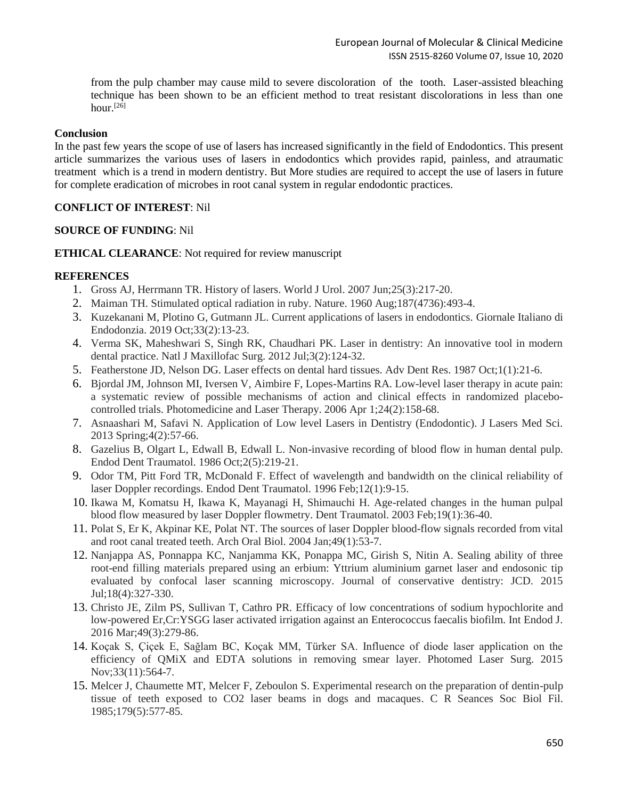from the pulp chamber may cause mild to severe discoloration of the tooth. Laser-assisted bleaching technique has been shown to be an efficient method to treat resistant discolorations in less than one hour. $[26]$ 

## **Conclusion**

In the past few years the scope of use of lasers has increased significantly in the field of Endodontics. This present article summarizes the various uses of lasers in endodontics which provides rapid, painless, and atraumatic treatment which is a trend in modern dentistry. But More studies are required to accept the use of lasers in future for complete eradication of microbes in root canal system in regular endodontic practices.

# **CONFLICT OF INTEREST**: Nil

# **SOURCE OF FUNDING**: Nil

**ETHICAL CLEARANCE**: Not required for review manuscript

# **REFERENCES**

- 1. Gross AJ, Herrmann TR. History of lasers. World J Urol. 2007 Jun;25(3):217-20.
- 2. Maiman TH. Stimulated optical radiation in ruby. Nature. 1960 Aug;187(4736):493-4.
- 3. Kuzekanani M, Plotino G, Gutmann JL. Current applications of lasers in endodontics. Giornale Italiano di Endodonzia. 2019 Oct;33(2):13-23.
- 4. Verma SK, Maheshwari S, Singh RK, Chaudhari PK. Laser in dentistry: An innovative tool in modern dental practice. Natl J Maxillofac Surg. 2012 Jul;3(2):124-32.
- 5. Featherstone JD, Nelson DG. Laser effects on dental hard tissues. Adv Dent Res. 1987 Oct;1(1):21-6.
- 6. Bjordal JM, Johnson MI, Iversen V, Aimbire F, Lopes-Martins RA. Low-level laser therapy in acute pain: a systematic review of possible mechanisms of action and clinical effects in randomized placebocontrolled trials. Photomedicine and Laser Therapy. 2006 Apr 1;24(2):158-68.
- 7. Asnaashari M, Safavi N. Application of Low level Lasers in Dentistry (Endodontic). J Lasers Med Sci. 2013 Spring;4(2):57-66.
- 8. Gazelius B, Olgart L, Edwall B, Edwall L. Non-invasive recording of blood flow in human dental pulp. Endod Dent Traumatol. 1986 Oct;2(5):219-21.
- 9. Odor TM, Pitt Ford TR, McDonald F. Effect of wavelength and bandwidth on the clinical reliability of laser Doppler recordings. Endod Dent Traumatol. 1996 Feb;12(1):9-15.
- 10. Ikawa M, Komatsu H, Ikawa K, Mayanagi H, Shimauchi H. Age-related changes in the human pulpal blood flow measured by laser Doppler flowmetry. Dent Traumatol. 2003 Feb;19(1):36-40.
- 11. Polat S, Er K, Akpinar KE, Polat NT. The sources of laser Doppler blood-flow signals recorded from vital and root canal treated teeth. Arch Oral Biol. 2004 Jan;49(1):53-7.
- 12. Nanjappa AS, Ponnappa KC, Nanjamma KK, Ponappa MC, Girish S, Nitin A. Sealing ability of three root-end filling materials prepared using an erbium: Yttrium aluminium garnet laser and endosonic tip evaluated by confocal laser scanning microscopy. Journal of conservative dentistry: JCD. 2015 Jul;18(4):327-330.
- 13. Christo JE, Zilm PS, Sullivan T, Cathro PR. Efficacy of low concentrations of sodium hypochlorite and low-powered Er,Cr:YSGG laser activated irrigation against an Enterococcus faecalis biofilm. Int Endod J. 2016 Mar;49(3):279-86.
- 14. Koçak S, Çiçek E, Sağlam BC, Koçak MM, Türker SA. Influence of diode laser application on the efficiency of QMiX and EDTA solutions in removing smear layer. Photomed Laser Surg. 2015 Nov;33(11):564-7.
- 15. Melcer J, Chaumette MT, Melcer F, Zeboulon S. Experimental research on the preparation of dentin-pulp tissue of teeth exposed to CO2 laser beams in dogs and macaques. C R Seances Soc Biol Fil. 1985;179(5):577-85.